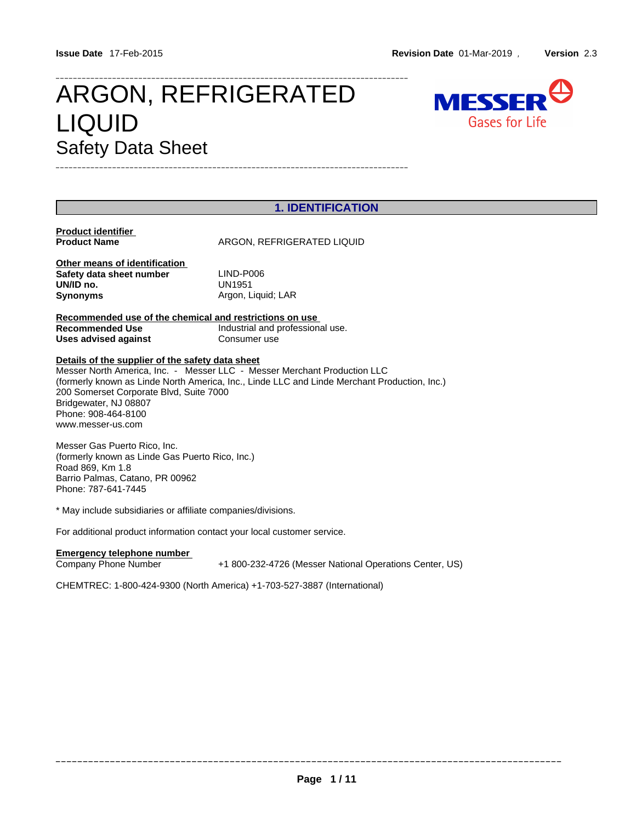# ARGON, REFRIGERATED MESSER LIQUID Gases for Life Safety Data Sheet



| <b>1. IDENTIFICATION</b>                                |                                                                                              |  |
|---------------------------------------------------------|----------------------------------------------------------------------------------------------|--|
| <b>Product identifier</b>                               |                                                                                              |  |
| <b>Product Name</b>                                     | ARGON, REFRIGERATED LIQUID                                                                   |  |
| Other means of identification                           |                                                                                              |  |
| Safety data sheet number                                | LIND-P006                                                                                    |  |
| UN/ID no.                                               | UN1951                                                                                       |  |
| Synonyms                                                | Argon, Liquid; LAR                                                                           |  |
| Recommended use of the chemical and restrictions on use |                                                                                              |  |
| Recommended Use                                         | Industrial and professional use.                                                             |  |
| Uses advised against                                    | Consumer use                                                                                 |  |
| Details of the supplier of the safety data sheet        |                                                                                              |  |
|                                                         | Messer North America, Inc. - Messer LLC - Messer Merchant Production LLC                     |  |
|                                                         | (formerly known as Linde North America, Inc., Linde LLC and Linde Merchant Production, Inc.) |  |
| 200 Somerset Corporate Blvd, Suite 7000                 |                                                                                              |  |
| Bridgewater, NJ 08807                                   |                                                                                              |  |
| Phone: 908-464-8100                                     |                                                                                              |  |
| www.messer-us.com                                       |                                                                                              |  |
| $M$ ocoor Coo Duarto Dioo. Ino                          |                                                                                              |  |

\_\_\_\_\_\_\_\_\_\_\_\_\_\_\_\_\_\_\_\_\_\_\_\_\_\_\_\_\_\_\_\_\_\_\_\_\_\_\_\_\_\_\_\_\_\_\_\_\_\_\_\_\_\_\_\_\_\_\_\_\_\_\_\_\_\_\_\_\_\_\_\_\_\_\_\_\_\_\_\_\_

Messer Gas Puerto Rico, Inc. (formerly known as Linde Gas Puerto Rico, Inc.) Road 869, Km 1.8 Barrio Palmas, Catano, PR 00962 Phone: 787-641-7445

\* May include subsidiaries or affiliate companies/divisions.

For additional product information contact your local customer service.

## **Emergency telephone number**

Company Phone Number +1 800-232-4726 (Messer National Operations Center, US)

CHEMTREC: 1-800-424-9300 (North America) +1-703-527-3887 (International)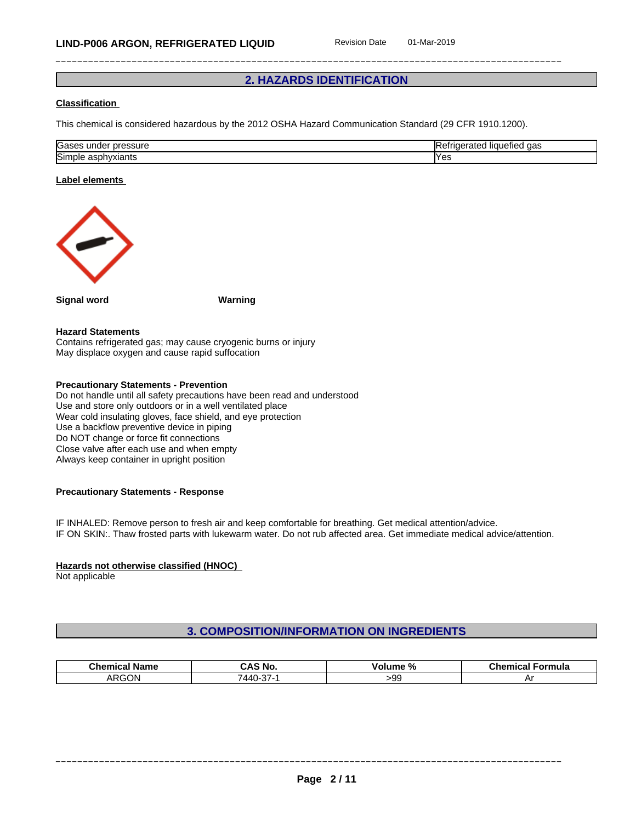# **2. HAZARDS IDENTIFICATION**

## **Classification**

This chemical is considered hazardous by the 2012 OSHA Hazard Communication Standard (29 CFR 1910.1200).

| הו<br>юа:<br>suit<br>ш. | uao |
|-------------------------|-----|
| <b>Sin</b><br>ու        | נ ט |

#### **Label elements**



**Signal word Warning**

#### **Hazard Statements**

Contains refrigerated gas; may cause cryogenic burns or injury May displace oxygen and cause rapid suffocation

# **Precautionary Statements - Prevention**

Do not handle until all safety precautions have been read and understood Use and store only outdoors or in a well ventilated place Wear cold insulating gloves, face shield, and eye protection Use a backflow preventive device in piping Do NOT change or force fit connections Close valve after each use and when empty Always keep container in upright position

## **Precautionary Statements - Response**

IF INHALED: Remove person to fresh air and keep comfortable for breathing. Get medical attention/advice. IF ON SKIN:. Thaw frosted parts with lukewarm water. Do not rub affected area. Get immediate medical advice/attention.

#### **Hazards not otherwise classified (HNOC)**

Not applicable

# **3. COMPOSITION/INFORMATION ON INGREDIENTS**

| <b>Chemical Name</b> | S No.                   | olume <sup>v</sup> | Chemical |
|----------------------|-------------------------|--------------------|----------|
|                      | - AS '                  | -70                | Formula  |
| ARGON                | $\sim$<br>∽<br>AAC<br>◡ | -99                | ┒        |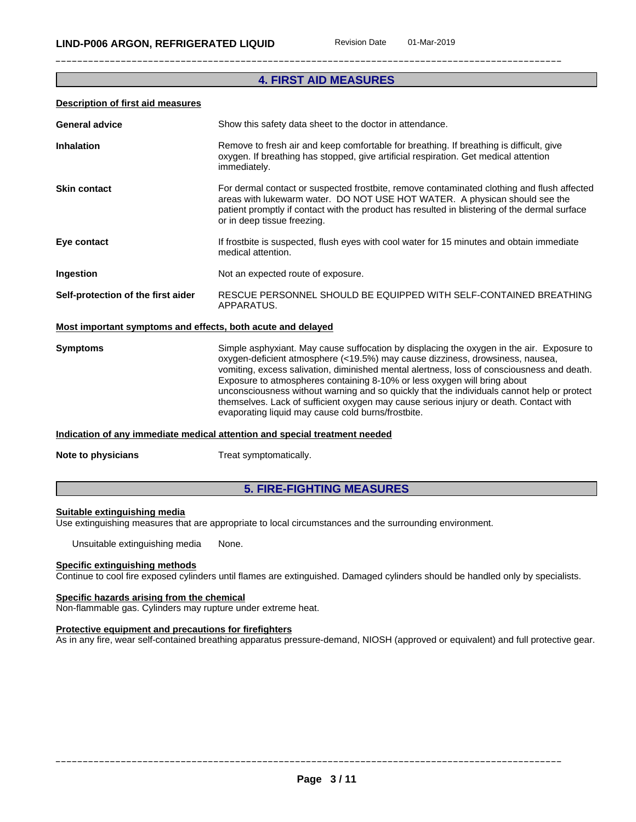# **4. FIRST AID MEASURES**

#### **Description of first aid measures**

| <b>General advice</b>                                       | Show this safety data sheet to the doctor in attendance.                                                                                                                                                                                                                                                                                                                                                                                                                                                                                                                                          |
|-------------------------------------------------------------|---------------------------------------------------------------------------------------------------------------------------------------------------------------------------------------------------------------------------------------------------------------------------------------------------------------------------------------------------------------------------------------------------------------------------------------------------------------------------------------------------------------------------------------------------------------------------------------------------|
| <b>Inhalation</b>                                           | Remove to fresh air and keep comfortable for breathing. If breathing is difficult, give<br>oxygen. If breathing has stopped, give artificial respiration. Get medical attention<br>immediately.                                                                                                                                                                                                                                                                                                                                                                                                   |
| <b>Skin contact</b>                                         | For dermal contact or suspected frostbite, remove contaminated clothing and flush affected<br>areas with lukewarm water. DO NOT USE HOT WATER. A physican should see the<br>patient promptly if contact with the product has resulted in blistering of the dermal surface<br>or in deep tissue freezing.                                                                                                                                                                                                                                                                                          |
| Eye contact                                                 | If frostbite is suspected, flush eyes with cool water for 15 minutes and obtain immediate<br>medical attention.                                                                                                                                                                                                                                                                                                                                                                                                                                                                                   |
| Ingestion                                                   | Not an expected route of exposure.                                                                                                                                                                                                                                                                                                                                                                                                                                                                                                                                                                |
| Self-protection of the first aider                          | RESCUE PERSONNEL SHOULD BE EQUIPPED WITH SELF-CONTAINED BREATHING<br>APPARATUS.                                                                                                                                                                                                                                                                                                                                                                                                                                                                                                                   |
| Most important symptoms and effects, both acute and delayed |                                                                                                                                                                                                                                                                                                                                                                                                                                                                                                                                                                                                   |
| <b>Symptoms</b>                                             | Simple asphyxiant. May cause suffocation by displacing the oxygen in the air. Exposure to<br>oxygen-deficient atmosphere (<19.5%) may cause dizziness, drowsiness, nausea,<br>vomiting, excess salivation, diminished mental alertness, loss of consciousness and death.<br>Exposure to atmospheres containing 8-10% or less oxygen will bring about<br>unconsciousness without warning and so quickly that the individuals cannot help or protect<br>themselves. Lack of sufficient oxygen may cause serious injury or death. Contact with<br>evaporating liquid may cause cold burns/frostbite. |
|                                                             |                                                                                                                                                                                                                                                                                                                                                                                                                                                                                                                                                                                                   |

#### **Indication of any immediate medical attention and special treatment needed**

**Note to physicians** Treat symptomatically.

# **5. FIRE-FIGHTING MEASURES**

#### **Suitable extinguishing media**

Use extinguishing measures that are appropriate to local circumstances and the surrounding environment.

Unsuitable extinguishing media None.

#### **Specific extinguishing methods**

Continue to cool fire exposed cylinders until flames are extinguished. Damaged cylinders should be handled only by specialists.

# **Specific hazards arising from the chemical**

Non-flammable gas. Cylinders may rupture under extreme heat.

#### **Protective equipment and precautions for firefighters**

As in any fire, wear self-contained breathing apparatus pressure-demand, NIOSH (approved or equivalent) and full protective gear.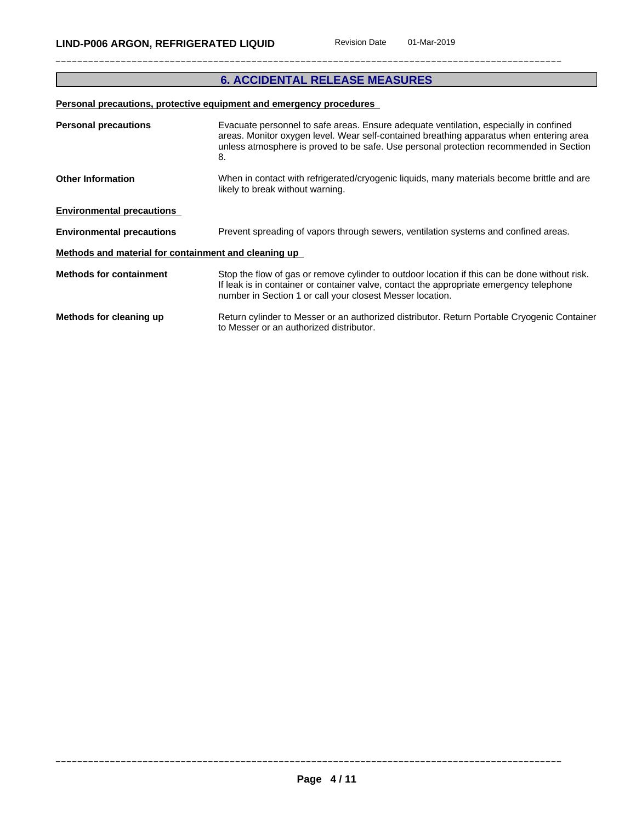# **6. ACCIDENTAL RELEASE MEASURES**

# **Personal precautions, protective equipment and emergency procedures**

| <b>Personal precautions</b>                          | Evacuate personnel to safe areas. Ensure adequate ventilation, especially in confined<br>areas. Monitor oxygen level. Wear self-contained breathing apparatus when entering area<br>unless atmosphere is proved to be safe. Use personal protection recommended in Section<br>8. |
|------------------------------------------------------|----------------------------------------------------------------------------------------------------------------------------------------------------------------------------------------------------------------------------------------------------------------------------------|
| <b>Other Information</b>                             | When in contact with refrigerated/cryogenic liquids, many materials become brittle and are<br>likely to break without warning.                                                                                                                                                   |
| <b>Environmental precautions</b>                     |                                                                                                                                                                                                                                                                                  |
| <b>Environmental precautions</b>                     | Prevent spreading of vapors through sewers, ventilation systems and confined areas.                                                                                                                                                                                              |
| Methods and material for containment and cleaning up |                                                                                                                                                                                                                                                                                  |
| <b>Methods for containment</b>                       | Stop the flow of gas or remove cylinder to outdoor location if this can be done without risk.<br>If leak is in container or container valve, contact the appropriate emergency telephone<br>number in Section 1 or call your closest Messer location.                            |
| Methods for cleaning up                              | Return cylinder to Messer or an authorized distributor. Return Portable Cryogenic Container<br>to Messer or an authorized distributor.                                                                                                                                           |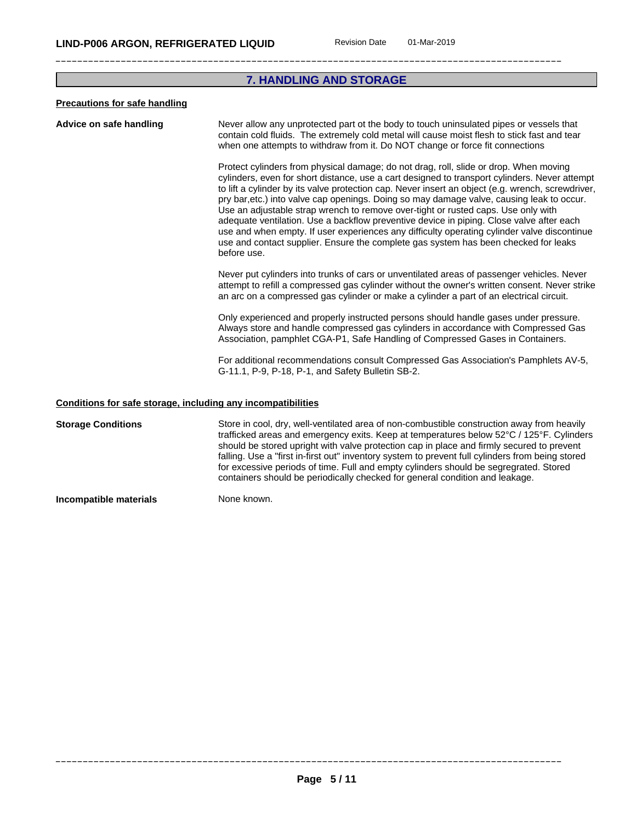# **7. HANDLING AND STORAGE**

# **Precautions for safe handling**

| Advice on safe handling | Never allow any unprotected part ot the body to touch uninsulated pipes or vessels that<br>contain cold fluids. The extremely cold metal will cause moist flesh to stick fast and tear<br>when one attempts to withdraw from it. Do NOT change or force fit connections                                                                                                                                                                                                                                                                                                                                                                                                                                                                                                        |
|-------------------------|--------------------------------------------------------------------------------------------------------------------------------------------------------------------------------------------------------------------------------------------------------------------------------------------------------------------------------------------------------------------------------------------------------------------------------------------------------------------------------------------------------------------------------------------------------------------------------------------------------------------------------------------------------------------------------------------------------------------------------------------------------------------------------|
|                         | Protect cylinders from physical damage; do not drag, roll, slide or drop. When moving<br>cylinders, even for short distance, use a cart designed to transport cylinders. Never attempt<br>to lift a cylinder by its valve protection cap. Never insert an object (e.g. wrench, screwdriver,<br>pry bar, etc.) into valve cap openings. Doing so may damage valve, causing leak to occur.<br>Use an adjustable strap wrench to remove over-tight or rusted caps. Use only with<br>adequate ventilation. Use a backflow preventive device in piping. Close valve after each<br>use and when empty. If user experiences any difficulty operating cylinder valve discontinue<br>use and contact supplier. Ensure the complete gas system has been checked for leaks<br>before use. |
|                         | Never put cylinders into trunks of cars or unventilated areas of passenger vehicles. Never<br>attempt to refill a compressed gas cylinder without the owner's written consent. Never strike<br>an arc on a compressed gas cylinder or make a cylinder a part of an electrical circuit.                                                                                                                                                                                                                                                                                                                                                                                                                                                                                         |
|                         | Only experienced and properly instructed persons should handle gases under pressure.<br>Always store and handle compressed gas cylinders in accordance with Compressed Gas<br>Association, pamphlet CGA-P1, Safe Handling of Compressed Gases in Containers.                                                                                                                                                                                                                                                                                                                                                                                                                                                                                                                   |
|                         | For additional recommendations consult Compressed Gas Association's Pamphlets AV-5,<br>G-11.1, P-9, P-18, P-1, and Safety Bulletin SB-2.                                                                                                                                                                                                                                                                                                                                                                                                                                                                                                                                                                                                                                       |
|                         | Conditions for safe storage, including any incompatibilities                                                                                                                                                                                                                                                                                                                                                                                                                                                                                                                                                                                                                                                                                                                   |

**Storage Conditions** Store in cool, dry, well-ventilated area of non-combustible construction away from heavily trafficked areas and emergency exits. Keep at temperatures below 52°C / 125°F. Cylinders should be stored upright with valve protection cap in place and firmly secured to prevent falling. Use a "first in-first out" inventory system to prevent full cylinders from being stored for excessive periods of time. Full and empty cylinders should be segregrated. Stored containers should be periodically checked for general condition and leakage.

**Incompatible materials** None known.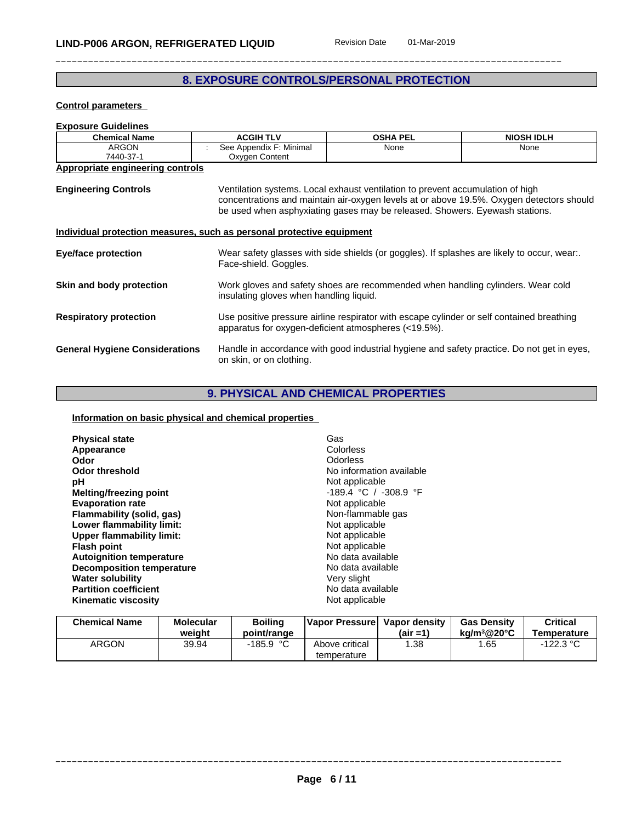# **8. EXPOSURE CONTROLS/PERSONAL PROTECTION**

**Control parameters**

| <b>Exposure Guidelines</b>                                            |                                                                                                                                                               |                 |                                                                                          |  |
|-----------------------------------------------------------------------|---------------------------------------------------------------------------------------------------------------------------------------------------------------|-----------------|------------------------------------------------------------------------------------------|--|
| <b>Chemical Name</b>                                                  | <b>ACGIH TLV</b>                                                                                                                                              | <b>OSHA PEL</b> | <b>NIOSH IDLH</b>                                                                        |  |
| <b>ARGON</b>                                                          | See Appendix F: Minimal                                                                                                                                       | None            | None                                                                                     |  |
| 7440-37-1                                                             | Oxygen Content                                                                                                                                                |                 |                                                                                          |  |
| Appropriate engineering controls                                      |                                                                                                                                                               |                 |                                                                                          |  |
| <b>Engineering Controls</b>                                           | Ventilation systems. Local exhaust ventilation to prevent accumulation of high<br>be used when asphyxiating gases may be released. Showers. Eyewash stations. |                 | concentrations and maintain air-oxygen levels at or above 19.5%. Oxygen detectors should |  |
| Individual protection measures, such as personal protective equipment |                                                                                                                                                               |                 |                                                                                          |  |
| Eye/face protection                                                   | Wear safety glasses with side shields (or goggles). If splashes are likely to occur, wear<br>Face-shield. Goggles.                                            |                 |                                                                                          |  |
| Skin and body protection                                              | Work gloves and safety shoes are recommended when handling cylinders. Wear cold<br>insulating gloves when handling liquid.                                    |                 |                                                                                          |  |
| <b>Respiratory protection</b>                                         | Use positive pressure airline respirator with escape cylinder or self contained breathing<br>apparatus for oxygen-deficient atmospheres (<19.5%).             |                 |                                                                                          |  |
| <b>General Hygiene Considerations</b>                                 | Handle in accordance with good industrial hygiene and safety practice. Do not get in eyes,<br>on skin, or on clothing.                                        |                 |                                                                                          |  |

# **9. PHYSICAL AND CHEMICAL PROPERTIES**

# **Information on basic physical and chemical properties**

| Not applicable<br>рH<br>$-189.4$ °C / $-308.9$ °F<br>Melting/freezing point<br>Not applicable<br><b>Evaporation rate</b><br>Flammability (solid, gas)<br>Non-flammable gas<br>Not applicable<br>Lower flammability limit:<br>Upper flammability limit:<br>Not applicable<br>Not applicable<br><b>Flash point</b><br>No data available<br><b>Autoignition temperature</b><br><b>Decomposition temperature</b><br>No data available<br>Very slight<br><b>Water solubility</b><br>No data available<br><b>Partition coefficient</b><br><b>Kinematic viscosity</b><br>Not applicable | <b>Physical state</b><br>Appearance<br>Odor<br><b>Odor threshold</b> | Gas<br>Colorless<br><b>Odorless</b><br>No information available |  |
|----------------------------------------------------------------------------------------------------------------------------------------------------------------------------------------------------------------------------------------------------------------------------------------------------------------------------------------------------------------------------------------------------------------------------------------------------------------------------------------------------------------------------------------------------------------------------------|----------------------------------------------------------------------|-----------------------------------------------------------------|--|
|----------------------------------------------------------------------------------------------------------------------------------------------------------------------------------------------------------------------------------------------------------------------------------------------------------------------------------------------------------------------------------------------------------------------------------------------------------------------------------------------------------------------------------------------------------------------------------|----------------------------------------------------------------------|-----------------------------------------------------------------|--|

| <b>Chemical Name</b> | Molecular<br>weiaht | Boiling<br>point/range | Vapor Pressurel               | Vapor density<br>(air =1) | <b>Gas Density</b><br>kg/m <sup>3</sup> @20°C | Critical<br>Temperature |
|----------------------|---------------------|------------------------|-------------------------------|---------------------------|-----------------------------------------------|-------------------------|
| ARGON                | 39.94               | $-185.9$ °C            | Above critical<br>temperature | .38                       | .65                                           | າາາ າ ∘∩<br>22.3        |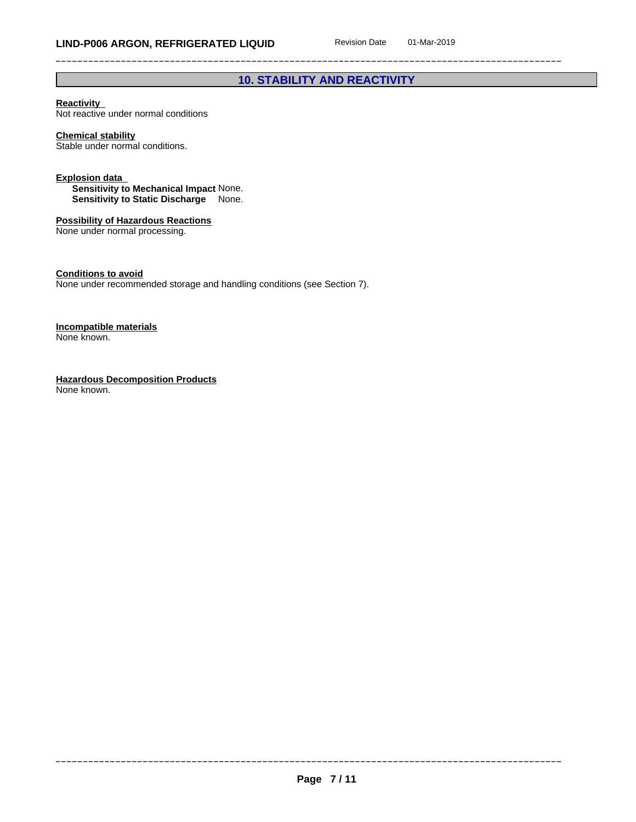# **10. STABILITY AND REACTIVITY**

## **Reactivity**

Not reactive under normal conditions

# **Chemical stability**

Stable under normal conditions.

#### **Explosion data**

**Sensitivity to Mechanical Impact** None. **Sensitivity to Static Discharge** None.

# **Possibility of Hazardous Reactions**

None under normal processing.

# **Conditions to avoid**

None under recommended storage and handling conditions (see Section 7).

#### **Incompatible materials** None known.

**Hazardous Decomposition Products** None known.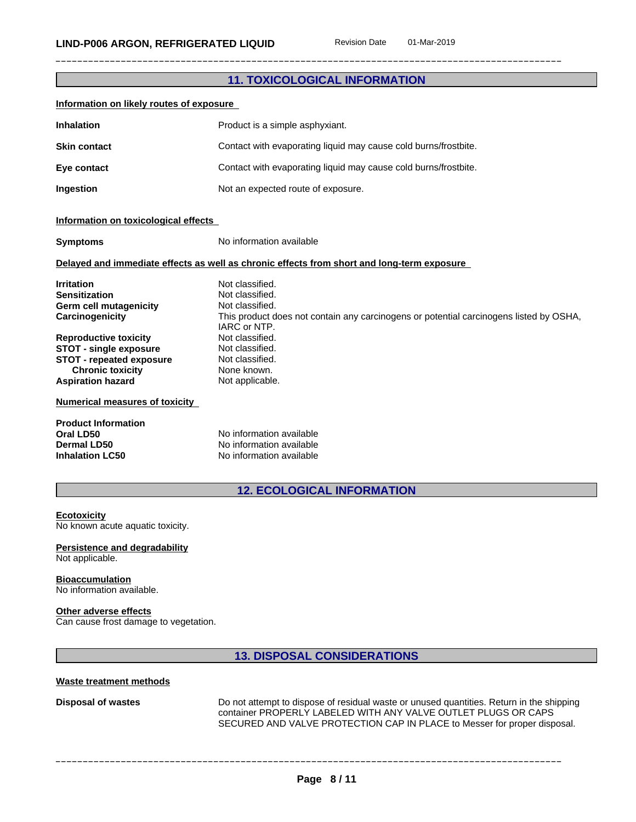|                                                                                                                                                                                                                                                                                                                                                                                                                                                                                                                                                                                                                                                                                                                                                                  | <b>11. TOXICOLOGICAL INFORMATION</b>                            |  |  |
|------------------------------------------------------------------------------------------------------------------------------------------------------------------------------------------------------------------------------------------------------------------------------------------------------------------------------------------------------------------------------------------------------------------------------------------------------------------------------------------------------------------------------------------------------------------------------------------------------------------------------------------------------------------------------------------------------------------------------------------------------------------|-----------------------------------------------------------------|--|--|
| Information on likely routes of exposure                                                                                                                                                                                                                                                                                                                                                                                                                                                                                                                                                                                                                                                                                                                         |                                                                 |  |  |
| <b>Inhalation</b>                                                                                                                                                                                                                                                                                                                                                                                                                                                                                                                                                                                                                                                                                                                                                | Product is a simple asphyxiant.                                 |  |  |
| <b>Skin contact</b>                                                                                                                                                                                                                                                                                                                                                                                                                                                                                                                                                                                                                                                                                                                                              | Contact with evaporating liquid may cause cold burns/frostbite. |  |  |
| Eye contact                                                                                                                                                                                                                                                                                                                                                                                                                                                                                                                                                                                                                                                                                                                                                      | Contact with evaporating liquid may cause cold burns/frostbite. |  |  |
| Ingestion                                                                                                                                                                                                                                                                                                                                                                                                                                                                                                                                                                                                                                                                                                                                                        | Not an expected route of exposure.                              |  |  |
| Information on toxicological effects                                                                                                                                                                                                                                                                                                                                                                                                                                                                                                                                                                                                                                                                                                                             |                                                                 |  |  |
| <b>Symptoms</b>                                                                                                                                                                                                                                                                                                                                                                                                                                                                                                                                                                                                                                                                                                                                                  | No information available                                        |  |  |
|                                                                                                                                                                                                                                                                                                                                                                                                                                                                                                                                                                                                                                                                                                                                                                  |                                                                 |  |  |
| Delayed and immediate effects as well as chronic effects from short and long-term exposure<br>Not classified.<br><b>Irritation</b><br>Not classified.<br><b>Sensitization</b><br><b>Germ cell mutagenicity</b><br>Not classified.<br>Carcinogenicity<br>This product does not contain any carcinogens or potential carcinogens listed by OSHA,<br>IARC or NTP.<br>Not classified.<br><b>Reproductive toxicity</b><br><b>STOT - single exposure</b><br>Not classified.<br><b>STOT - repeated exposure</b><br>Not classified.<br>None known.<br><b>Chronic toxicity</b><br><b>Aspiration hazard</b><br>Not applicable.<br><b>Numerical measures of toxicity</b><br><b>Product Information</b><br>No information available<br>Oral LD50<br>No information available |                                                                 |  |  |
| <b>Inhalation LC50</b>                                                                                                                                                                                                                                                                                                                                                                                                                                                                                                                                                                                                                                                                                                                                           | No information available                                        |  |  |
| <b>12. ECOLOGICAL INFORMATION</b>                                                                                                                                                                                                                                                                                                                                                                                                                                                                                                                                                                                                                                                                                                                                |                                                                 |  |  |

**Ecotoxicity** No known acute aquatic toxicity.

**Persistence and degradability** Not applicable.

# **Bioaccumulation**

No information available.

## **Other adverse effects**

Can cause frost damage to vegetation.

**13. DISPOSAL CONSIDERATIONS**

#### **Waste treatment methods**

**Disposal of wastes** Do not attempt to dispose of residual waste or unused quantities. Return in the shipping container PROPERLY LABELED WITH ANY VALVE OUTLET PLUGS OR CAPS SECURED AND VALVE PROTECTION CAP IN PLACE to Messer for proper disposal.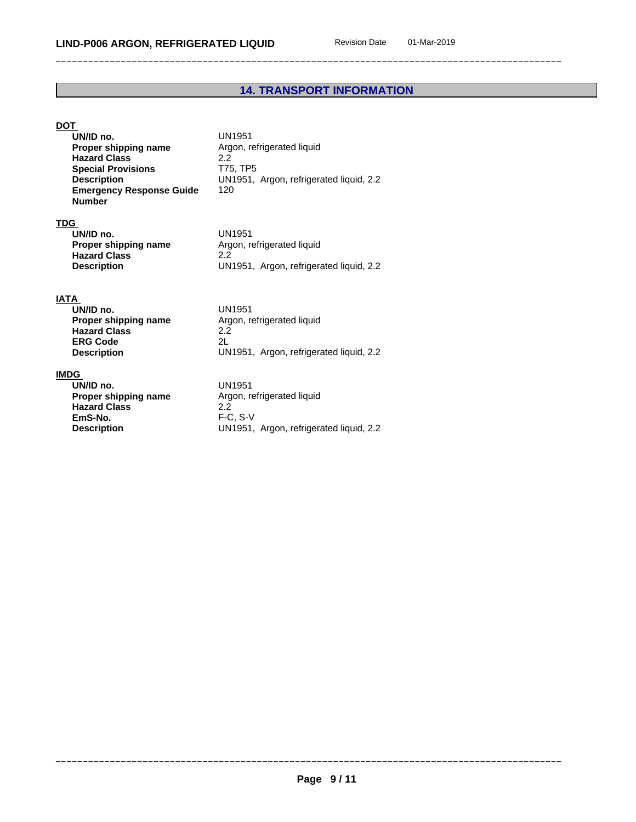# **14. TRANSPORT INFORMATION**

# **DOT**

| UN/ID no.                       | UN1951                                  |
|---------------------------------|-----------------------------------------|
| Proper shipping name            | Argon, refrigerated liquid              |
| <b>Hazard Class</b>             | 22                                      |
| <b>Special Provisions</b>       | T75. TP5                                |
| <b>Description</b>              | UN1951, Argon, refrigerated liquid, 2.2 |
| <b>Emergency Response Guide</b> | 120                                     |
| <b>Number</b>                   |                                         |

# **TDG**

| UN/ID no.            | UN1951                                  |
|----------------------|-----------------------------------------|
| Proper shipping name | Argon, refrigerated liquid              |
| <b>Hazard Class</b>  |                                         |
| <b>Description</b>   | UN1951, Argon, refrigerated liquid, 2.2 |

# **IATA**

| UN/ID no.            | UN1951                                  |
|----------------------|-----------------------------------------|
| Proper shipping name | Argon, refrigerated liquid              |
| <b>Hazard Class</b>  | 2.2                                     |
| <b>ERG Code</b>      | 2L                                      |
| <b>Description</b>   | UN1951, Argon, refrigerated liquid, 2.2 |

# **IMDG**

| UN/ID no.            | UN1951                                |  |
|----------------------|---------------------------------------|--|
| Proper shipping name | Argon, refrigerated liquid            |  |
| <b>Hazard Class</b>  | 2.2                                   |  |
| EmS-No.              | $F-C. S-V$                            |  |
| <b>Description</b>   | UN1951, Argon, refrigerated liquid, 2 |  |
|                      |                                       |  |

**Prated liquid** on, refrigerated liquid, 2.2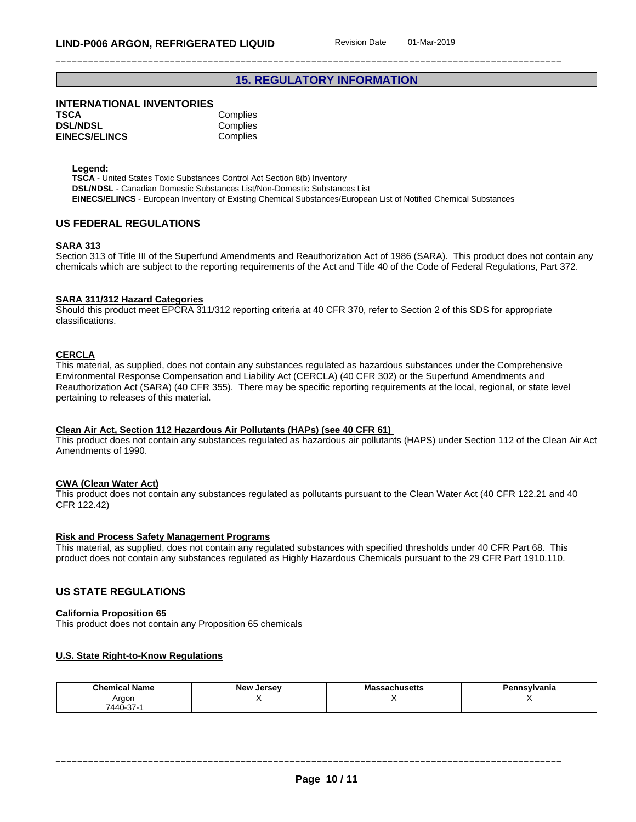# **15. REGULATORY INFORMATION**

# **INTERNATIONAL INVENTORIES**

| TSCA                 | Complies |
|----------------------|----------|
| <b>DSL/NDSL</b>      | Complies |
| <b>EINECS/ELINCS</b> | Complies |

**Legend:** 

**TSCA** - United States Toxic Substances Control Act Section 8(b) Inventory **DSL/NDSL** - Canadian Domestic Substances List/Non-Domestic Substances List **EINECS/ELINCS** - European Inventory of Existing Chemical Substances/European List of Notified Chemical Substances

#### **US FEDERAL REGULATIONS**

#### **SARA 313**

Section 313 of Title III of the Superfund Amendments and Reauthorization Act of 1986 (SARA). This product does not contain any chemicals which are subject to the reporting requirements of the Act and Title 40 of the Code of Federal Regulations, Part 372.

#### **SARA 311/312 Hazard Categories**

Should this product meet EPCRA 311/312 reporting criteria at 40 CFR 370, refer to Section 2 of this SDS for appropriate classifications.

#### **CERCLA**

This material, as supplied, does not contain any substances regulated as hazardous substances under the Comprehensive Environmental Response Compensation and Liability Act (CERCLA) (40 CFR 302) or the Superfund Amendments and Reauthorization Act (SARA) (40 CFR 355). There may be specific reporting requirements at the local, regional, or state level pertaining to releases of this material.

#### **Clean Air Act,Section 112 Hazardous Air Pollutants (HAPs) (see 40 CFR 61)**

This product does not contain any substances regulated as hazardous air pollutants (HAPS) under Section 112 of the Clean Air Act Amendments of 1990.

#### **CWA** (Clean Water Act)

This product does not contain any substances regulated as pollutants pursuant to the Clean Water Act (40 CFR 122.21 and 40 CFR 122.42)

#### **Risk and Process Safety Management Programs**

This material, as supplied, does not contain any regulated substances with specified thresholds under 40 CFR Part 68. This product does not contain any substances regulated as Highly Hazardous Chemicals pursuant to the 29 CFR Part 1910.110.

#### **US STATE REGULATIONS**

#### **California Proposition 65**

This product does not contain any Proposition 65 chemicals

#### **U.S. State Right-to-Know Regulations**

| <b>Chemical Name</b> | <b>Jersey</b><br>New | $T$ . $C$ $\Delta T$ $\ldots$<br>issachusetts<br>. <i>.</i> | ∍.<br>∋nsylvania |
|----------------------|----------------------|-------------------------------------------------------------|------------------|
| Argor                |                      |                                                             |                  |
| 7440-37-1            |                      |                                                             |                  |